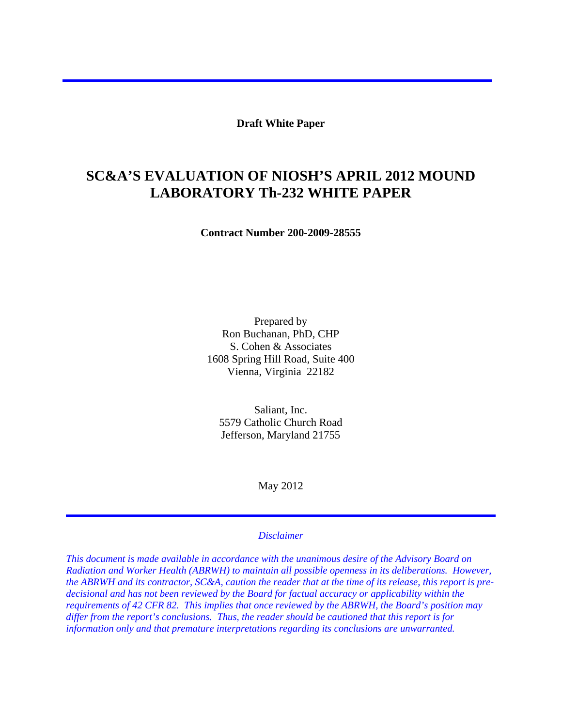**Draft White Paper** 

# **SC&A'S EVALUATION OF NIOSH'S APRIL 2012 MOUND LABORATORY Th-232 WHITE PAPER**

**Contract Number 200-2009-28555** 

Prepared by Ron Buchanan, PhD, CHP S. Cohen & Associates 1608 Spring Hill Road, Suite 400 Vienna, Virginia 22182

Saliant, Inc. 5579 Catholic Church Road Jefferson, Maryland 21755

May 2012

#### *Disclaimer*

*This document is made available in accordance with the unanimous desire of the Advisory Board on Radiation and Worker Health (ABRWH) to maintain all possible openness in its deliberations. However, the ABRWH and its contractor, SC&A, caution the reader that at the time of its release, this report is predecisional and has not been reviewed by the Board for factual accuracy or applicability within the requirements of 42 CFR 82. This implies that once reviewed by the ABRWH, the Board's position may differ from the report's conclusions. Thus, the reader should be cautioned that this report is for information only and that premature interpretations regarding its conclusions are unwarranted.*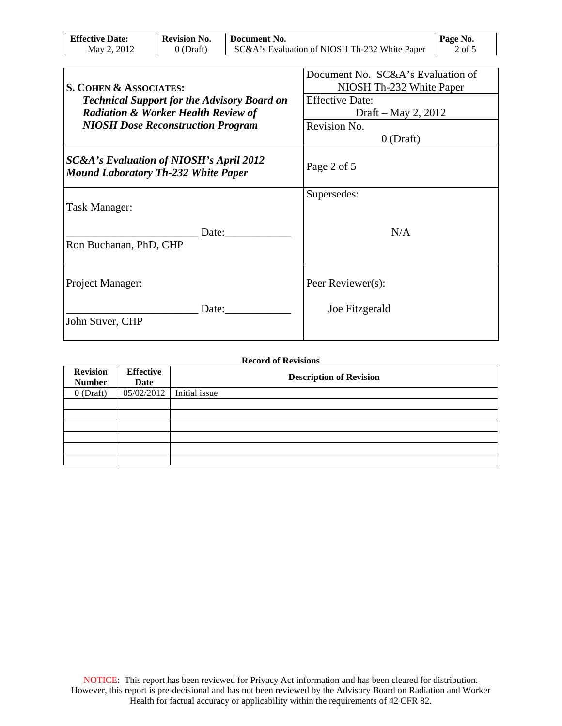| <b>Effective Date:</b> | <b>Revision No.</b> | Document No.                                  | Page No.          |
|------------------------|---------------------|-----------------------------------------------|-------------------|
| May 2, 2012            | $0$ (Draft)         | SC&A's Evaluation of NIOSH Th-232 White Paper | $2$ of $\ddot{z}$ |

| S. COHEN & ASSOCIATES:<br><b>Technical Support for the Advisory Board on</b><br><b>Radiation &amp; Worker Health Review of</b> | Document No. SC&A's Evaluation of<br>NIOSH Th-232 White Paper<br><b>Effective Date:</b><br>Draft – May 2, 2012 |  |
|--------------------------------------------------------------------------------------------------------------------------------|----------------------------------------------------------------------------------------------------------------|--|
| <b>NIOSH Dose Reconstruction Program</b>                                                                                       | Revision No.<br>$0$ (Draft)                                                                                    |  |
| SC&A's Evaluation of NIOSH's April 2012<br><b>Mound Laboratory Th-232 White Paper</b>                                          | Page 2 of 5                                                                                                    |  |
| Task Manager:                                                                                                                  | Supersedes:                                                                                                    |  |
| Date:<br>Ron Buchanan, PhD, CHP                                                                                                | N/A                                                                                                            |  |
| Project Manager:                                                                                                               | Peer Reviewer(s):                                                                                              |  |
| Date:<br>John Stiver, CHP                                                                                                      | Joe Fitzgerald                                                                                                 |  |

| <b>Record of Revisions</b>       |                          |               |                                |  |
|----------------------------------|--------------------------|---------------|--------------------------------|--|
| <b>Revision</b><br><b>Number</b> | <b>Effective</b><br>Date |               | <b>Description of Revision</b> |  |
| $0$ (Draft)                      | 05/02/2012               | Initial issue |                                |  |
|                                  |                          |               |                                |  |
|                                  |                          |               |                                |  |
|                                  |                          |               |                                |  |
|                                  |                          |               |                                |  |
|                                  |                          |               |                                |  |
|                                  |                          |               |                                |  |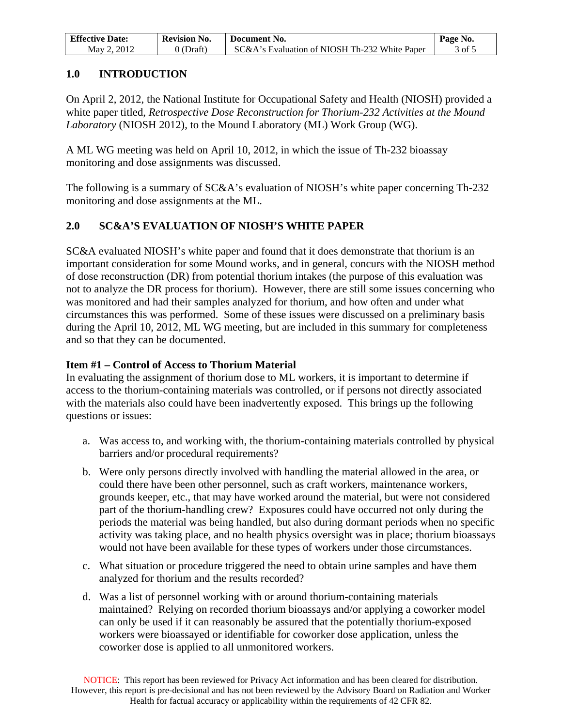| <b>Effective Date:</b> | <b>Revision No.</b> | Document No.                                  | Page No. |
|------------------------|---------------------|-----------------------------------------------|----------|
| May 2, 2012            | 0 (Draft)           | SC&A's Evaluation of NIOSH Th-232 White Paper | 3 of :   |

## **1.0 INTRODUCTION**

On April 2, 2012, the National Institute for Occupational Safety and Health (NIOSH) provided a white paper titled, *Retrospective Dose Reconstruction for Thorium-232 Activities at the Mound Laboratory* (NIOSH 2012), to the Mound Laboratory (ML) Work Group (WG).

A ML WG meeting was held on April 10, 2012, in which the issue of Th-232 bioassay monitoring and dose assignments was discussed.

The following is a summary of SC&A's evaluation of NIOSH's white paper concerning Th-232 monitoring and dose assignments at the ML.

# **2.0 SC&A'S EVALUATION OF NIOSH'S WHITE PAPER**

SC&A evaluated NIOSH's white paper and found that it does demonstrate that thorium is an important consideration for some Mound works, and in general, concurs with the NIOSH method of dose reconstruction (DR) from potential thorium intakes (the purpose of this evaluation was not to analyze the DR process for thorium). However, there are still some issues concerning who was monitored and had their samples analyzed for thorium, and how often and under what circumstances this was performed. Some of these issues were discussed on a preliminary basis during the April 10, 2012, ML WG meeting, but are included in this summary for completeness and so that they can be documented.

## **Item #1 – Control of Access to Thorium Material**

In evaluating the assignment of thorium dose to ML workers, it is important to determine if access to the thorium-containing materials was controlled, or if persons not directly associated with the materials also could have been inadvertently exposed. This brings up the following questions or issues:

- a. Was access to, and working with, the thorium-containing materials controlled by physical barriers and/or procedural requirements?
- b. Were only persons directly involved with handling the material allowed in the area, or could there have been other personnel, such as craft workers, maintenance workers, grounds keeper, etc., that may have worked around the material, but were not considered part of the thorium-handling crew? Exposures could have occurred not only during the periods the material was being handled, but also during dormant periods when no specific activity was taking place, and no health physics oversight was in place; thorium bioassays would not have been available for these types of workers under those circumstances.
- c. What situation or procedure triggered the need to obtain urine samples and have them analyzed for thorium and the results recorded?
- d. Was a list of personnel working with or around thorium-containing materials maintained? Relying on recorded thorium bioassays and/or applying a coworker model can only be used if it can reasonably be assured that the potentially thorium-exposed workers were bioassayed or identifiable for coworker dose application, unless the coworker dose is applied to all unmonitored workers.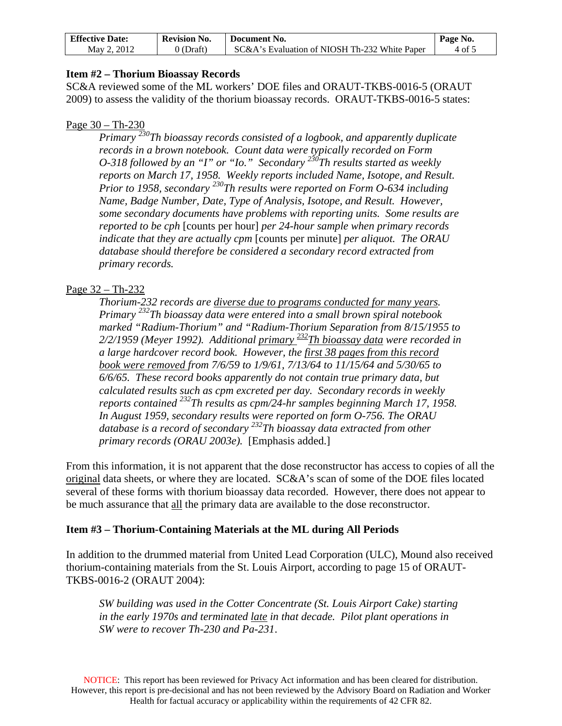| <b>Effective Date:</b> | <b>Revision No.</b> | Document No.                                  | Page No. |
|------------------------|---------------------|-----------------------------------------------|----------|
| May 2, 2012            | $0$ (Draft)         | SC&A's Evaluation of NIOSH Th-232 White Paper | 4 of 5   |

#### **Item #2 – Thorium Bioassay Records**

SC&A reviewed some of the ML workers' DOE files and ORAUT-TKBS-0016-5 (ORAUT 2009) to assess the validity of the thorium bioassay records. ORAUT-TKBS-0016-5 states:

#### Page 30 – Th-230

*Primary 230Th bioassay records consisted of a logbook, and apparently duplicate records in a brown notebook. Count data were typically recorded on Form O-318 followed by an "I" or "Io." Secondary*  $\frac{236}{h}$ Th results started as weekly *reports on March 17, 1958. Weekly reports included Name, Isotope, and Result. Prior to 1958, secondary 230Th results were reported on Form O-634 including Name, Badge Number, Date, Type of Analysis, Isotope, and Result. However, some secondary documents have problems with reporting units. Some results are reported to be cph* [counts per hour] *per 24-hour sample when primary records indicate that they are actually cpm* [counts per minute] *per aliquot. The ORAU database should therefore be considered a secondary record extracted from primary records.* 

## Page 32 – Th-232

*Thorium-232 records are diverse due to programs conducted for many years. Primary 232Th bioassay data were entered into a small brown spiral notebook marked "Radium-Thorium" and "Radium-Thorium Separation from 8/15/1955 to 2/2/1959 (Meyer 1992). Additional primary 232Th bioassay data were recorded in a large hardcover record book. However, the first 38 pages from this record book were removed from 7/6/59 to 1/9/61, 7/13/64 to 11/15/64 and 5/30/65 to 6/6/65. These record books apparently do not contain true primary data, but calculated results such as cpm excreted per day. Secondary records in weekly reports contained 232Th results as cpm/24-hr samples beginning March 17, 1958. In August 1959, secondary results were reported on form O-756. The ORAU database is a record of secondary 232Th bioassay data extracted from other primary records (ORAU 2003e).* [Emphasis added.]

From this information, it is not apparent that the dose reconstructor has access to copies of all the original data sheets, or where they are located. SC&A's scan of some of the DOE files located several of these forms with thorium bioassay data recorded. However, there does not appear to be much assurance that all the primary data are available to the dose reconstructor.

#### **Item #3 – Thorium-Containing Materials at the ML during All Periods**

In addition to the drummed material from United Lead Corporation (ULC), Mound also received thorium-containing materials from the St. Louis Airport, according to page 15 of ORAUT-TKBS-0016-2 (ORAUT 2004):

*SW building was used in the Cotter Concentrate (St. Louis Airport Cake) starting in the early 1970s and terminated late in that decade. Pilot plant operations in SW were to recover Th-230 and Pa-231*.